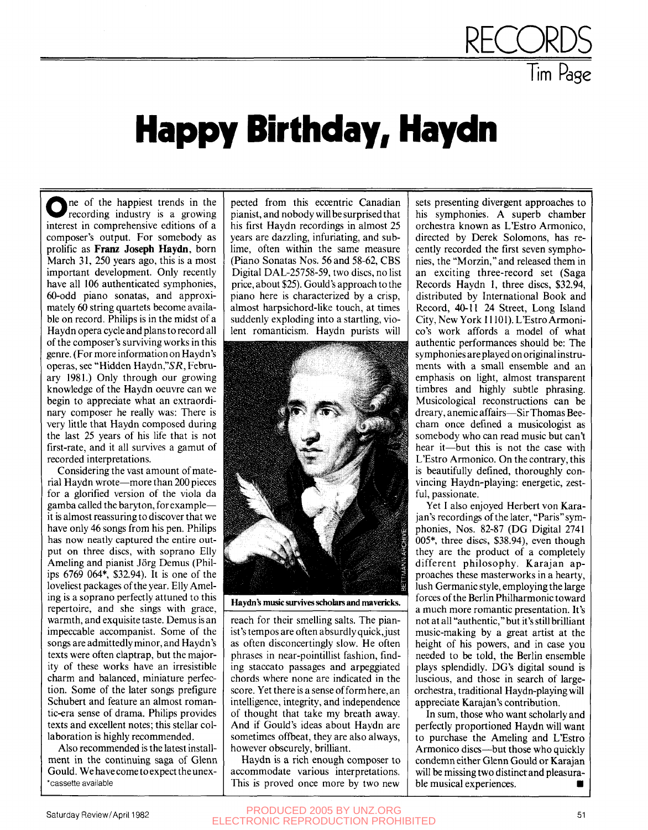## **Happy Birthday, Haydn**

One of the happiest trends in the<br>recording industry is a growing ne of the happiest trends in the interest in comprehensive editions of a composer's output. For somebody as prolific as **Franz Joseph Haydn,** born March 31, 250 years ago, this is a most important development. Only recently have all 106 authenticated symphonies, 60-odd piano sonatas, and approximately 60 string quartets become available on record. Philips is in the midst of a Haydn opera cycle and plans to record all of the composer's surviving works in this genre. (For more information on Haydn's operas, see "Hidden Haydn,"SR, February 1981.) Only through our growing knowledge of the Haydn oeuvre can we begin to appreciate what an extraordinary composer he really was: There is very little that Haydn composed during the last 25 years of his life that is not first-rate, and it all survives a gamut of recorded interpretations.

Considering the vast amount of material Haydn wrote—more than 200 pieces for a glorified version of the viola da gamba called the baryton, for example it is almost reassuring to discover that we have only 46 songs from his pen. Philips has now neatly captured the entire output on three discs, with soprano Elly Ameling and pianist Jörg Demus (Philips 6769 064\*. \$32.94). It is one of the loveliest packages of the year. Elly Ameling is a soprano perfectly attuned to this repertoire, and she sings with grace, warmth, and exquisite taste. Demus is an impeccable accompanist. Some of the songs are admittedly minor, and Haydn's texts were often claptrap, but the majority of these works have an irresistible charm and balanced, miniature perfection. Some of the later songs prefigure Schubert and feature an almost romantic-era sense of drama. Philips provides texts and excellent notes; this stellar collaboration is highly recommended.

Also recommended is the latest installment in the continuing saga of Glenn Gould. We have come to expect the unex- \*cassette available

pected from this eccentric Canadian pianist, and nobody will be surprised that his first Haydn recordings in almost 25 years are dazzling, infuriating, and sublime, often within the same measure (Piano Sonatas Nos. 56 and 58-62, CBS Digital DAL-25758-59, two discs, no list price, about \$25). Gould's approach to the piano here is characterized by a crisp, almost harpsichord-like touch, at times suddenly exploding into a startling, violent romanticism. Haydn purists will



Haydn's music survives scholars and mavericks.

reach for their smelling salts. The pianist's tempos are often absurdly quick, just as often disconcertingly slow. He often phrases in near-pointillist fashion, finding staccato passages and arpeggiated chords where none are indicated in the score. Yet there is a sense of form here, an intelligence, integrity, and independence of thought that take my breath away. And if Gould's ideas about Haydn are sometimes offbeat, they are also always, however obscurely, brilliant.

Haydn is a rich enough composer to accommodate various interpretations. This is proved once more by two new sets presenting divergent approaches to his symphonies. A superb chamber orchestra known as L'Estro Armonico, directed by Derek Solomons, has recently recorded the first seven symphonies, the "Morzin," and released them in an exciting three-record set (Saga Records Haydn 1, three discs, \$32.94, distributed by International Book and Record, 40-11 24 Street, Long Island City, New York 11101). L'Estro Armonico's work affords a model of what authentic performances should be: The symphonies are played on original instruments with a small ensemble and an emphasis on light, almost transparent timbres and highly subtle phrasing. Musicological reconstructions can be dreary, anemic affairs—Sir Thomas Beecham once defined a musicologist as somebody who can read music but can't hear it—but this is not the case with L'Estro Armonico. On the contrary, this is beautifully defined, thoroughly convincing Haydn-playing: energetic, zestful, passionate.

**RECORDS** 

Tim Page

Yet I also enjoyed Herbert von Karajan's recordings of the later, "Paris"symphonies, Nos. 82-87 (DG Digital 2741 005\*, three discs, \$38.94), even though they are the product of a completely different philosophy. Karajan approaches these masterworks in a hearty, lush Germanic style, employing the large forces of the Berlin Philharmonic toward a much more romantic presentation. It's not at all "authentic," but it's still brilliant music-making by a great artist at the height of his powers, and in case you needed to be told, the Berlin ensemble plays splendidly. DG's digital sound is luscious, and those in search of largeorchestra, traditional Haydn-playing will appreciate Karajan's contribution.

In sum, those who want scholarly and perfectly proportioned Haydn will want to purchase the Ameling and L'Estro Armonico discs—but those who quickly condemn either Glenn Gould or Karajan will be missing two distinct and pleasurable musical experiences. •

## Saturday Review/April 1982 PRODUCED 2005 BY UNZ.ORG **<sup>51</sup>**ELECTRONIC REPRODUCTION PROHIBITED